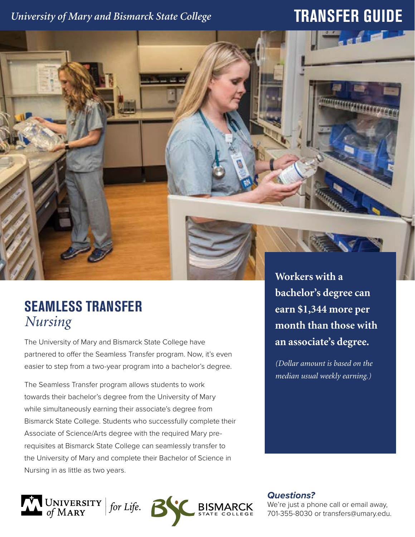## *University of Mary and Bismarck State College*

## **TRANSFER GUIDE**



## **SEAMLESS TRANSFER** *Nursing*

The University of Mary and Bismarck State College have partnered to offer the Seamless Transfer program. Now, it's even easier to step from a two-year program into a bachelor's degree.

The Seamless Transfer program allows students to work towards their bachelor's degree from the University of Mary while simultaneously earning their associate's degree from Bismarck State College. Students who successfully complete their Associate of Science/Arts degree with the required Mary prerequisites at Bismarck State College can seamlessly transfer to the University of Mary and complete their Bachelor of Science in Nursing in as little as two years.

**bachelor's degree can earn \$1,344 more per month than those with an associate's degree.** 

*(Dollar amount is based on the median usual weekly earning.)*

UNIVERSITY | for Life. **BISM**  *Questions?*

We're just a phone call or email away, 701-355-8030 or transfers@umary.edu.